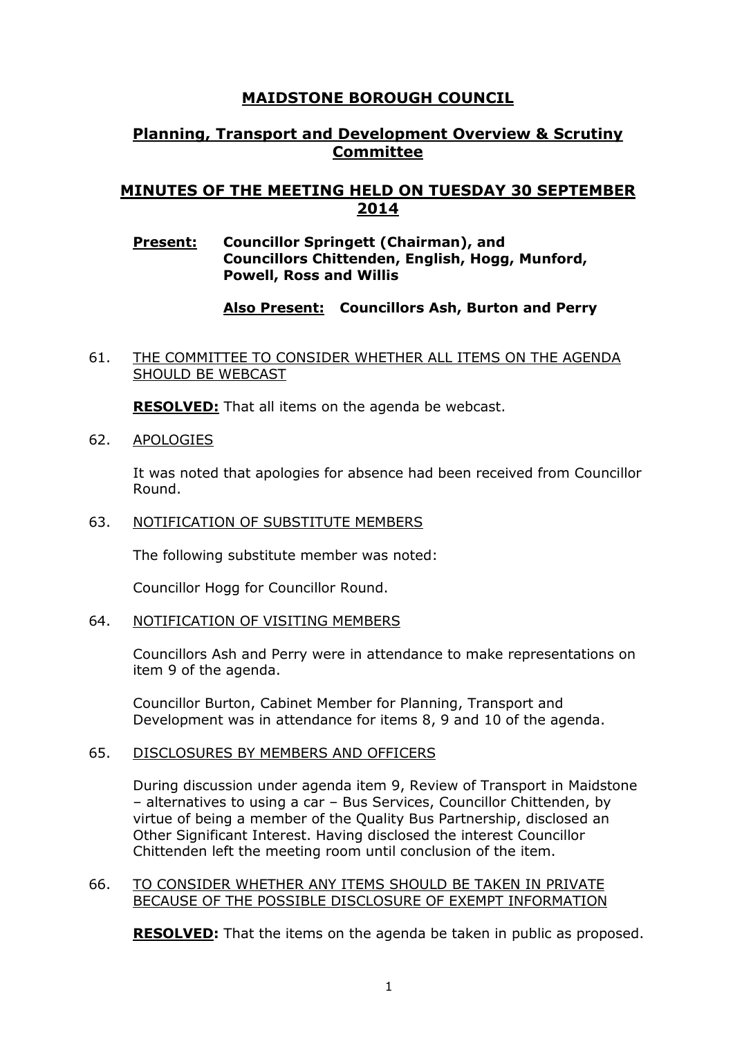# **MAIDSTONE BOROUGH COUNCIL**

# **Planning, Transport and Development Overview & Scrutiny Committee**

# **MINUTES OF THE MEETING HELD ON TUESDAY 30 SEPTEMBER 2014**

### **Present: Councillor Springett (Chairman), and Councillors Chittenden, English, Hogg, Munford, Powell, Ross and Willis**

# **Also Present: Councillors Ash, Burton and Perry**

## 61. THE COMMITTEE TO CONSIDER WHETHER ALL ITEMS ON THE AGENDA SHOULD BE WEBCAST

**RESOLVED:** That all items on the agenda be webcast.

62. APOLOGIES

It was noted that apologies for absence had been received from Councillor Round.

### 63. NOTIFICATION OF SUBSTITUTE MEMBERS

The following substitute member was noted:

Councillor Hogg for Councillor Round.

### 64. NOTIFICATION OF VISITING MEMBERS

Councillors Ash and Perry were in attendance to make representations on item 9 of the agenda.

Councillor Burton, Cabinet Member for Planning, Transport and Development was in attendance for items 8, 9 and 10 of the agenda.

### 65. DISCLOSURES BY MEMBERS AND OFFICERS

During discussion under agenda item 9, Review of Transport in Maidstone – alternatives to using a car – Bus Services, Councillor Chittenden, by virtue of being a member of the Quality Bus Partnership, disclosed an Other Significant Interest. Having disclosed the interest Councillor Chittenden left the meeting room until conclusion of the item.

### 66. TO CONSIDER WHETHER ANY ITEMS SHOULD BE TAKEN IN PRIVATE BECAUSE OF THE POSSIBLE DISCLOSURE OF EXEMPT INFORMATION

**RESOLVED:** That the items on the agenda be taken in public as proposed.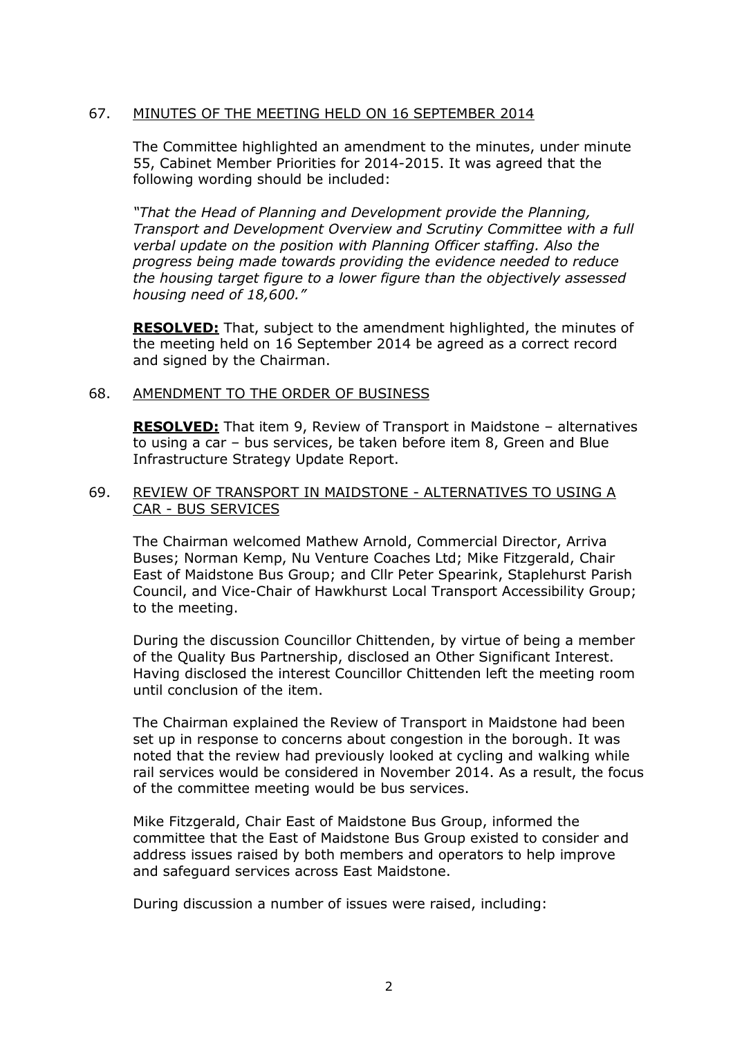# 67. MINUTES OF THE MEETING HELD ON 16 SEPTEMBER 2014

The Committee highlighted an amendment to the minutes, under minute 55, Cabinet Member Priorities for 2014-2015. It was agreed that the following wording should be included:

*"That the Head of Planning and Development provide the Planning, Transport and Development Overview and Scrutiny Committee with a full verbal update on the position with Planning Officer staffing. Also the progress being made towards providing the evidence needed to reduce the housing target figure to a lower figure than the objectively assessed housing need of 18,600."* 

**RESOLVED:** That, subject to the amendment highlighted, the minutes of the meeting held on 16 September 2014 be agreed as a correct record and signed by the Chairman.

### 68. AMENDMENT TO THE ORDER OF BUSINESS

**RESOLVED:** That item 9, Review of Transport in Maidstone – alternatives to using a car – bus services, be taken before item 8, Green and Blue Infrastructure Strategy Update Report.

#### 69. REVIEW OF TRANSPORT IN MAIDSTONE - ALTERNATIVES TO USING A CAR - BUS SERVICES

The Chairman welcomed Mathew Arnold, Commercial Director, Arriva Buses; Norman Kemp, Nu Venture Coaches Ltd; Mike Fitzgerald, Chair East of Maidstone Bus Group; and Cllr Peter Spearink, Staplehurst Parish Council, and Vice-Chair of Hawkhurst Local Transport Accessibility Group; to the meeting.

During the discussion Councillor Chittenden, by virtue of being a member of the Quality Bus Partnership, disclosed an Other Significant Interest. Having disclosed the interest Councillor Chittenden left the meeting room until conclusion of the item.

The Chairman explained the Review of Transport in Maidstone had been set up in response to concerns about congestion in the borough. It was noted that the review had previously looked at cycling and walking while rail services would be considered in November 2014. As a result, the focus of the committee meeting would be bus services.

Mike Fitzgerald, Chair East of Maidstone Bus Group, informed the committee that the East of Maidstone Bus Group existed to consider and address issues raised by both members and operators to help improve and safeguard services across East Maidstone.

During discussion a number of issues were raised, including: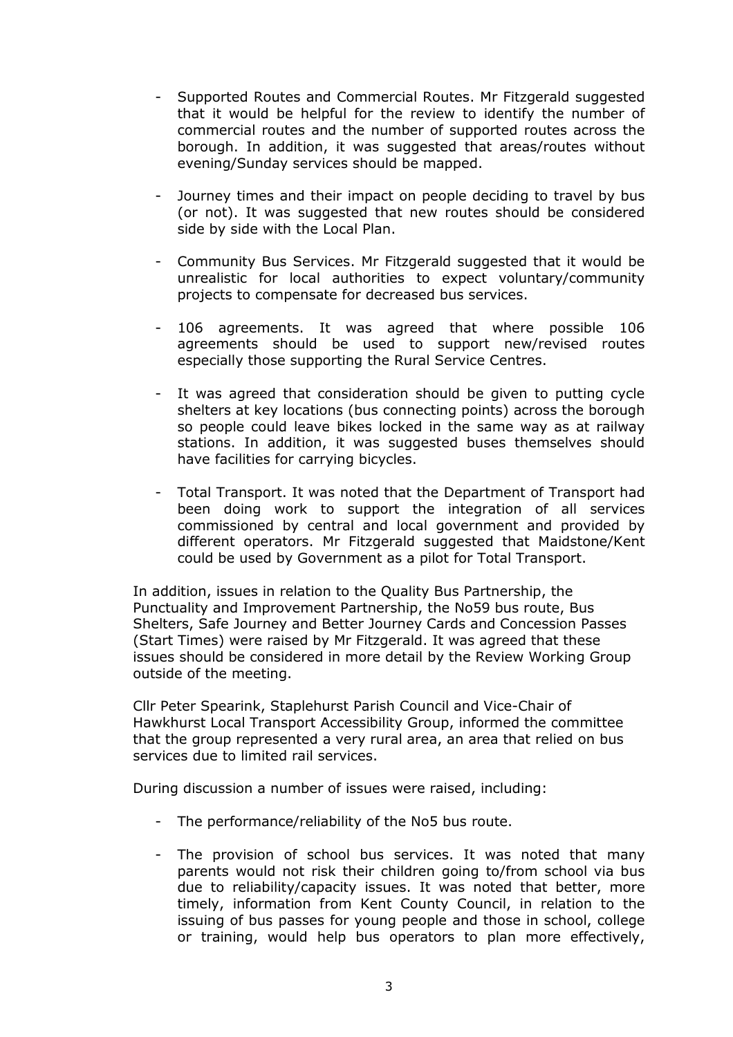- Supported Routes and Commercial Routes. Mr Fitzgerald suggested that it would be helpful for the review to identify the number of commercial routes and the number of supported routes across the borough. In addition, it was suggested that areas/routes without evening/Sunday services should be mapped.
- Journey times and their impact on people deciding to travel by bus (or not). It was suggested that new routes should be considered side by side with the Local Plan.
- Community Bus Services. Mr Fitzgerald suggested that it would be unrealistic for local authorities to expect voluntary/community projects to compensate for decreased bus services.
- 106 agreements. It was agreed that where possible 106 agreements should be used to support new/revised routes especially those supporting the Rural Service Centres.
- It was agreed that consideration should be given to putting cycle shelters at key locations (bus connecting points) across the borough so people could leave bikes locked in the same way as at railway stations. In addition, it was suggested buses themselves should have facilities for carrying bicycles.
- Total Transport. It was noted that the Department of Transport had been doing work to support the integration of all services commissioned by central and local government and provided by different operators. Mr Fitzgerald suggested that Maidstone/Kent could be used by Government as a pilot for Total Transport.

In addition, issues in relation to the Quality Bus Partnership, the Punctuality and Improvement Partnership, the No59 bus route, Bus Shelters, Safe Journey and Better Journey Cards and Concession Passes (Start Times) were raised by Mr Fitzgerald. It was agreed that these issues should be considered in more detail by the Review Working Group outside of the meeting.

Cllr Peter Spearink, Staplehurst Parish Council and Vice-Chair of Hawkhurst Local Transport Accessibility Group, informed the committee that the group represented a very rural area, an area that relied on bus services due to limited rail services.

During discussion a number of issues were raised, including:

- The performance/reliability of the No5 bus route.
- The provision of school bus services. It was noted that many parents would not risk their children going to/from school via bus due to reliability/capacity issues. It was noted that better, more timely, information from Kent County Council, in relation to the issuing of bus passes for young people and those in school, college or training, would help bus operators to plan more effectively,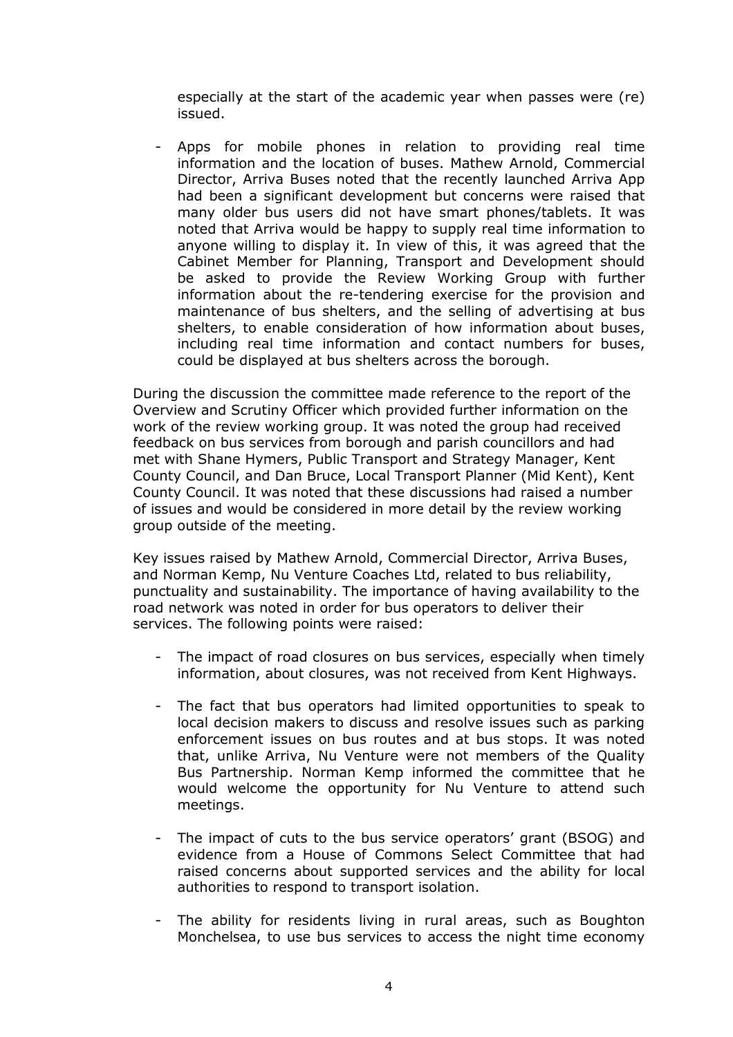especially at the start of the academic year when passes were (re) issued.

Apps for mobile phones in relation to providing real time information and the location of buses. Mathew Arnold, Commercial Director, Arriva Buses noted that the recently launched Arriva App had been a significant development but concerns were raised that many older bus users did not have smart phones/tablets. It was noted that Arriva would be happy to supply real time information to anyone willing to display it. In view of this, it was agreed that the Cabinet Member for Planning, Transport and Development should be asked to provide the Review Working Group with further information about the re-tendering exercise for the provision and maintenance of bus shelters, and the selling of advertising at bus shelters, to enable consideration of how information about buses, including real time information and contact numbers for buses, could be displayed at bus shelters across the borough.

During the discussion the committee made reference to the report of the Overview and Scrutiny Officer which provided further information on the work of the review working group. It was noted the group had received feedback on bus services from borough and parish councillors and had met with Shane Hymers, Public Transport and Strategy Manager, Kent County Council, and Dan Bruce, Local Transport Planner (Mid Kent), Kent County Council. It was noted that these discussions had raised a number of issues and would be considered in more detail by the review working group outside of the meeting.

Key issues raised by Mathew Arnold, Commercial Director, Arriva Buses, and Norman Kemp, Nu Venture Coaches Ltd, related to bus reliability, punctuality and sustainability. The importance of having availability to the road network was noted in order for bus operators to deliver their services. The following points were raised:

- The impact of road closures on bus services, especially when timely information, about closures, was not received from Kent Highways.
- The fact that bus operators had limited opportunities to speak to local decision makers to discuss and resolve issues such as parking enforcement issues on bus routes and at bus stops. It was noted that, unlike Arriva, Nu Venture were not members of the Quality Bus Partnership. Norman Kemp informed the committee that he would welcome the opportunity for Nu Venture to attend such meetings.
- The impact of cuts to the bus service operators' grant (BSOG) and evidence from a House of Commons Select Committee that had raised concerns about supported services and the ability for local authorities to respond to transport isolation.
- The ability for residents living in rural areas, such as Boughton Monchelsea, to use bus services to access the night time economy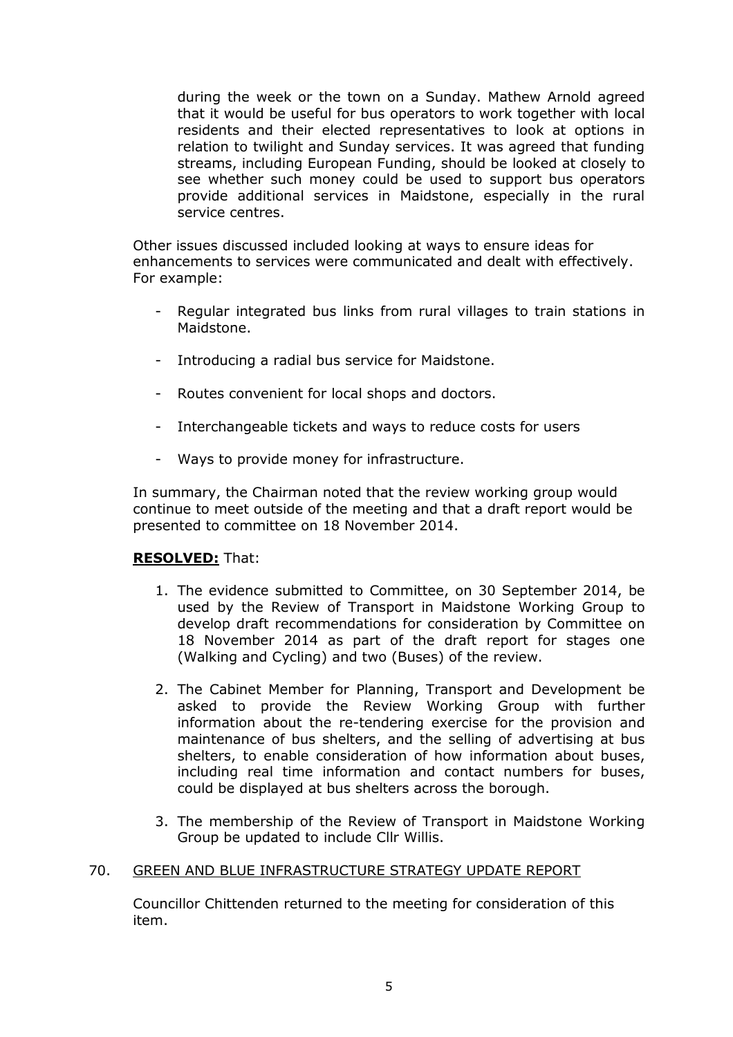during the week or the town on a Sunday. Mathew Arnold agreed that it would be useful for bus operators to work together with local residents and their elected representatives to look at options in relation to twilight and Sunday services. It was agreed that funding streams, including European Funding, should be looked at closely to see whether such money could be used to support bus operators provide additional services in Maidstone, especially in the rural service centres.

Other issues discussed included looking at ways to ensure ideas for enhancements to services were communicated and dealt with effectively. For example:

- Regular integrated bus links from rural villages to train stations in Maidstone.
- Introducing a radial bus service for Maidstone.
- Routes convenient for local shops and doctors.
- Interchangeable tickets and ways to reduce costs for users
- Ways to provide money for infrastructure.

In summary, the Chairman noted that the review working group would continue to meet outside of the meeting and that a draft report would be presented to committee on 18 November 2014.

### **RESOLVED:** That:

- 1. The evidence submitted to Committee, on 30 September 2014, be used by the Review of Transport in Maidstone Working Group to develop draft recommendations for consideration by Committee on 18 November 2014 as part of the draft report for stages one (Walking and Cycling) and two (Buses) of the review.
- 2. The Cabinet Member for Planning, Transport and Development be asked to provide the Review Working Group with further information about the re-tendering exercise for the provision and maintenance of bus shelters, and the selling of advertising at bus shelters, to enable consideration of how information about buses, including real time information and contact numbers for buses, could be displayed at bus shelters across the borough.
- 3. The membership of the Review of Transport in Maidstone Working Group be updated to include Cllr Willis.

### 70. GREEN AND BLUE INFRASTRUCTURE STRATEGY UPDATE REPORT

Councillor Chittenden returned to the meeting for consideration of this item.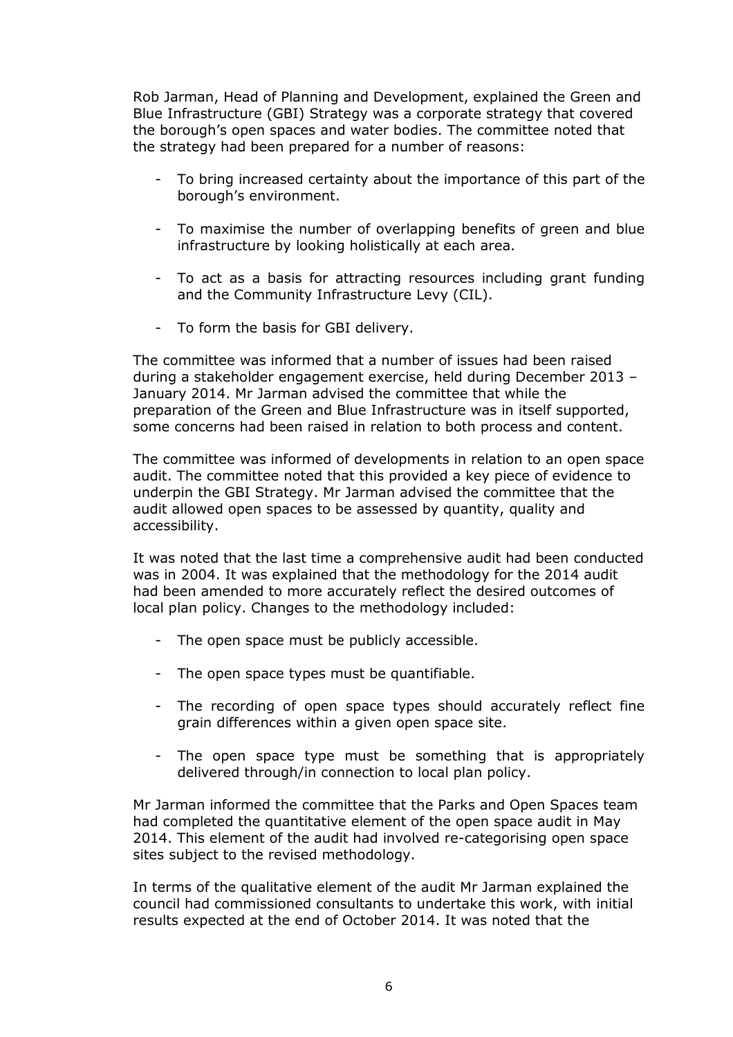Rob Jarman, Head of Planning and Development, explained the Green and Blue Infrastructure (GBI) Strategy was a corporate strategy that covered the borough's open spaces and water bodies. The committee noted that the strategy had been prepared for a number of reasons:

- To bring increased certainty about the importance of this part of the borough's environment.
- To maximise the number of overlapping benefits of green and blue infrastructure by looking holistically at each area.
- To act as a basis for attracting resources including grant funding and the Community Infrastructure Levy (CIL).
- To form the basis for GBI delivery.

The committee was informed that a number of issues had been raised during a stakeholder engagement exercise, held during December 2013 – January 2014. Mr Jarman advised the committee that while the preparation of the Green and Blue Infrastructure was in itself supported, some concerns had been raised in relation to both process and content.

The committee was informed of developments in relation to an open space audit. The committee noted that this provided a key piece of evidence to underpin the GBI Strategy. Mr Jarman advised the committee that the audit allowed open spaces to be assessed by quantity, quality and accessibility.

It was noted that the last time a comprehensive audit had been conducted was in 2004. It was explained that the methodology for the 2014 audit had been amended to more accurately reflect the desired outcomes of local plan policy. Changes to the methodology included:

- The open space must be publicly accessible.
- The open space types must be quantifiable.
- The recording of open space types should accurately reflect fine grain differences within a given open space site.
- The open space type must be something that is appropriately delivered through/in connection to local plan policy.

Mr Jarman informed the committee that the Parks and Open Spaces team had completed the quantitative element of the open space audit in May 2014. This element of the audit had involved re-categorising open space sites subject to the revised methodology.

In terms of the qualitative element of the audit Mr Jarman explained the council had commissioned consultants to undertake this work, with initial results expected at the end of October 2014. It was noted that the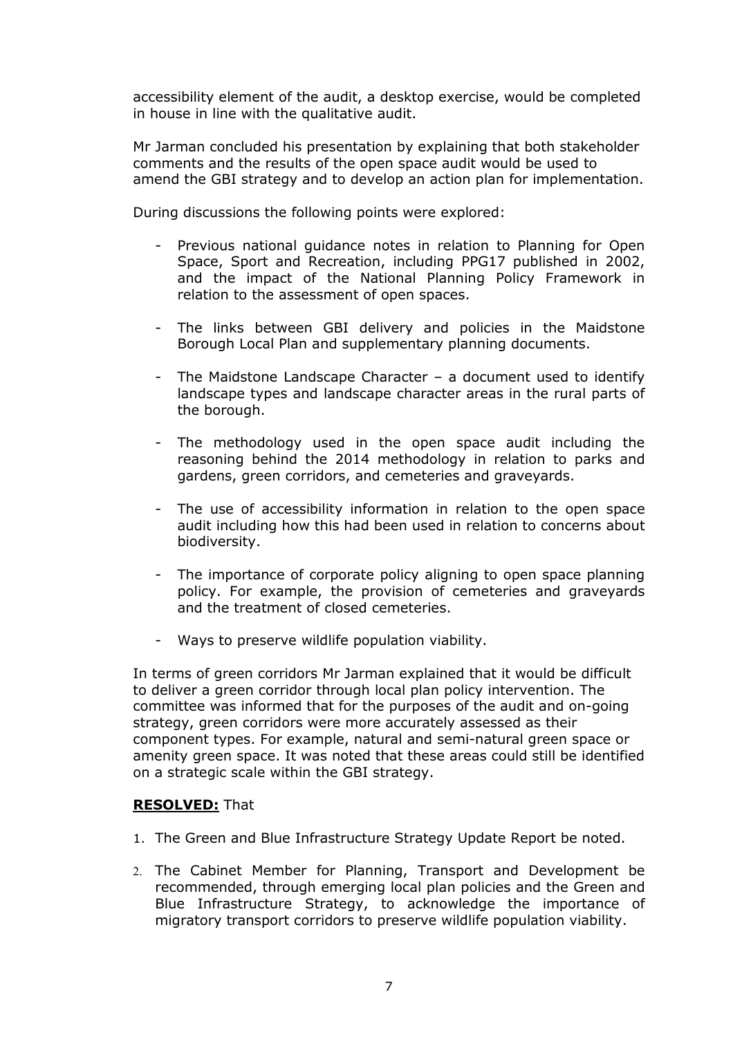accessibility element of the audit, a desktop exercise, would be completed in house in line with the qualitative audit.

Mr Jarman concluded his presentation by explaining that both stakeholder comments and the results of the open space audit would be used to amend the GBI strategy and to develop an action plan for implementation.

During discussions the following points were explored:

- Previous national guidance notes in relation to Planning for Open Space, Sport and Recreation, including PPG17 published in 2002, and the impact of the National Planning Policy Framework in relation to the assessment of open spaces.
- The links between GBI delivery and policies in the Maidstone Borough Local Plan and supplementary planning documents.
- The Maidstone Landscape Character a document used to identify landscape types and landscape character areas in the rural parts of the borough.
- The methodology used in the open space audit including the reasoning behind the 2014 methodology in relation to parks and gardens, green corridors, and cemeteries and graveyards.
- The use of accessibility information in relation to the open space audit including how this had been used in relation to concerns about biodiversity.
- The importance of corporate policy aligning to open space planning policy. For example, the provision of cemeteries and graveyards and the treatment of closed cemeteries.
- Ways to preserve wildlife population viability.

In terms of green corridors Mr Jarman explained that it would be difficult to deliver a green corridor through local plan policy intervention. The committee was informed that for the purposes of the audit and on-going strategy, green corridors were more accurately assessed as their component types. For example, natural and semi-natural green space or amenity green space. It was noted that these areas could still be identified on a strategic scale within the GBI strategy.

# **RESOLVED:** That

- 1. The Green and Blue Infrastructure Strategy Update Report be noted.
- 2. The Cabinet Member for Planning, Transport and Development be recommended, through emerging local plan policies and the Green and Blue Infrastructure Strategy, to acknowledge the importance of migratory transport corridors to preserve wildlife population viability.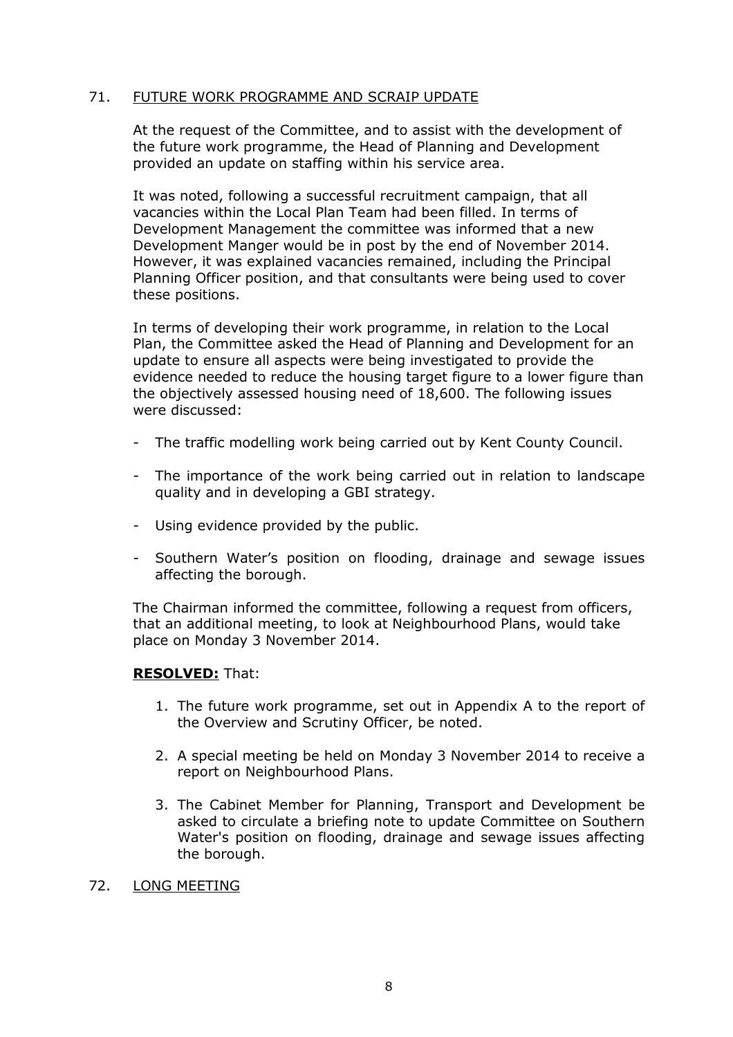## 71. FUTURE WORK PROGRAMME AND SCRAIP UPDATE

At the request of the Committee, and to assist with the development of the future work programme, the Head of Planning and Development provided an update on staffing within his service area.

It was noted, following a successful recruitment campaign, that all vacancies within the Local Plan Team had been filled. In terms of Development Management the committee was informed that a new Development Manger would be in post by the end of November 2014. However, it was explained vacancies remained, including the Principal Planning Officer position, and that consultants were being used to cover these positions.

In terms of developing their work programme, in relation to the Local Plan, the Committee asked the Head of Planning and Development for an update to ensure all aspects were being investigated to provide the evidence needed to reduce the housing target figure to a lower figure than the objectively assessed housing need of 18,600. The following issues were discussed:

- The traffic modelling work being carried out by Kent County Council.
- The importance of the work being carried out in relation to landscape quality and in developing a GBI strategy.
- Using evidence provided by the public.
- Southern Water's position on flooding, drainage and sewage issues affecting the borough.

The Chairman informed the committee, following a request from officers, that an additional meeting, to look at Neighbourhood Plans, would take place on Monday 3 November 2014.

### **RESOLVED:** That:

- 1. The future work programme, set out in Appendix A to the report of the Overview and Scrutiny Officer, be noted.
- 2. A special meeting be held on Monday 3 November 2014 to receive a report on Neighbourhood Plans.
- 3. The Cabinet Member for Planning, Transport and Development be asked to circulate a briefing note to update Committee on Southern Water's position on flooding, drainage and sewage issues affecting the borough.

### 72. LONG MEETING